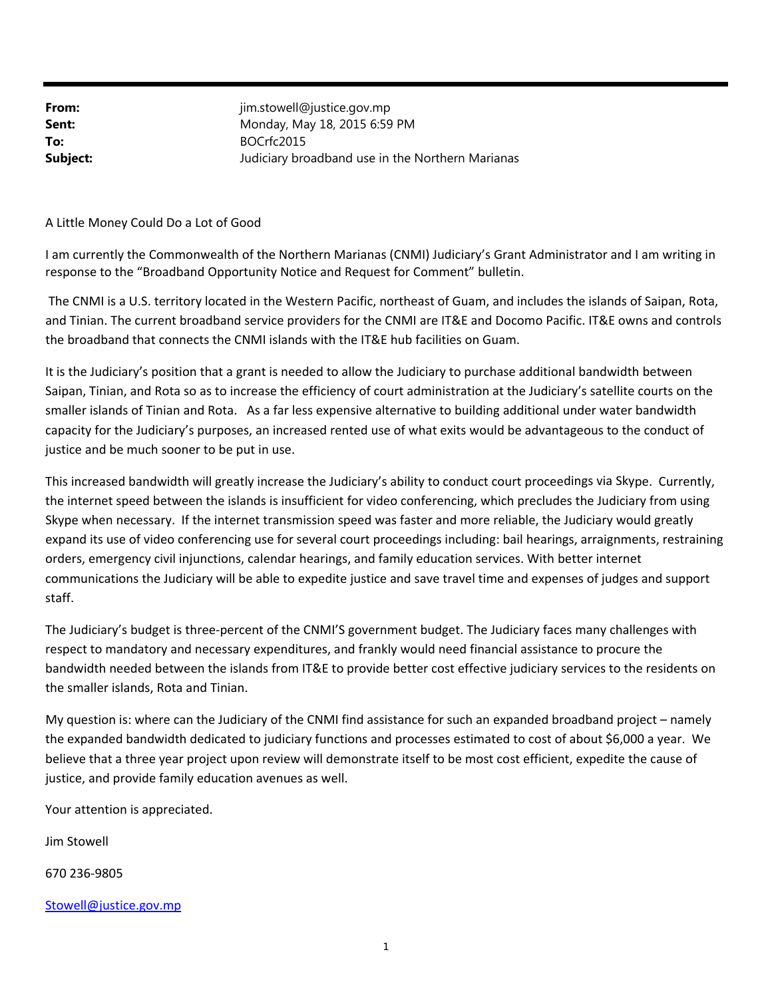**From:** im.stowell@justice.gov.mp **Sent:** Monday, May 18, 2015 6:59 PM To: BOCrfc2015 **Subject:** Judiciary broadband use in the Northern Marianas

## A Little Money Could Do a Lot of Good

I am currently the Commonwealth of the Northern Marianas (CNMI) Judiciary's Grant Administrator and I am writing in response to the "Broadband Opportunity Notice and Request for Comment" bulletin.

The CNMI is a U.S. territory located in the Western Pacific, northeast of Guam, and includes the islands of Saipan, Rota, and Tinian. The current broadband service providers for the CNMI are IT&E and Docomo Pacific. IT&E owns and controls the broadband that connects the CNMI islands with the IT&E hub facilities on Guam.

It is the Judiciary's position that a grant is needed to allow the Judiciary to purchase additional bandwidth between Saipan, Tinian, and Rota so as to increase the efficiency of court administration at the Judiciary's satellite courts on the smaller islands of Tinian and Rota. As a far less expensive alternative to building additional under water bandwidth capacity for the Judiciary's purposes, an increased rented use of what exits would be advantageous to the conduct of justice and be much sooner to be put in use.

This increased bandwidth will greatly increase the Judiciary's ability to conduct court proceedings via Skype. Currently, the internet speed between the islands is insufficient for video conferencing, which precludes the Judiciary from using Skype when necessary. If the internet transmission speed was faster and more reliable, the Judiciary would greatly expand its use of video conferencing use for several court proceedings including: bail hearings, arraignments, restraining orders, emergency civil injunctions, calendar hearings, and family education services. With better internet communications the Judiciary will be able to expedite justice and save travel time and expenses of judges and support staff.

The Judiciary's budget is three‐percent of the CNMI'S government budget. The Judiciary faces many challenges with respect to mandatory and necessary expenditures, and frankly would need financial assistance to procure the bandwidth needed between the islands from IT&E to provide better cost effective judiciary services to the residents on the smaller islands, Rota and Tinian.

My question is: where can the Judiciary of the CNMI find assistance for such an expanded broadband project – namely the expanded bandwidth dedicated to judiciary functions and processes estimated to cost of about \$6,000 a year. We believe that a three year project upon review will demonstrate itself to be most cost efficient, expedite the cause of justice, and provide family education avenues as well.

Your attention is appreciated.

Jim Stowell

670 236‐9805

## Stowell@justice.gov.mp